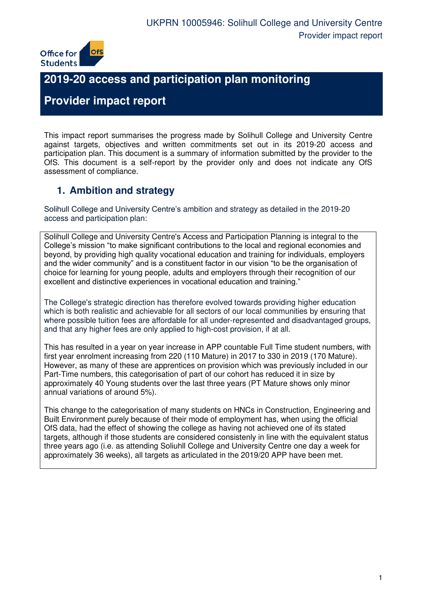

# **2019-20 access and participation plan monitoring**

# **Provider impact report**

This impact report summarises the progress made by Solihull College and University Centre against targets, objectives and written commitments set out in its 2019-20 access and participation plan. This document is a summary of information submitted by the provider to the OfS. This document is a self-report by the provider only and does not indicate any OfS assessment of compliance.

## **1. Ambition and strategy**

Solihull College and University Centre's ambition and strategy as detailed in the 2019-20 access and participation plan:

Solihull College and University Centre's Access and Participation Planning is integral to the College's mission "to make significant contributions to the local and regional economies and beyond, by providing high quality vocational education and training for individuals, employers and the wider community" and is a constituent factor in our vision "to be the organisation of choice for learning for young people, adults and employers through their recognition of our excellent and distinctive experiences in vocational education and training."

The College's strategic direction has therefore evolved towards providing higher education which is both realistic and achievable for all sectors of our local communities by ensuring that where possible tuition fees are affordable for all under-represented and disadvantaged groups, and that any higher fees are only applied to high-cost provision, if at all.

This has resulted in a year on year increase in APP countable Full Time student numbers, with first year enrolment increasing from 220 (110 Mature) in 2017 to 330 in 2019 (170 Mature). However, as many of these are apprentices on provision which was previously included in our Part-Time numbers, this categorisation of part of our cohort has reduced it in size by approximately 40 Young students over the last three years (PT Mature shows only minor annual variations of around 5%).

This change to the categorisation of many students on HNCs in Construction, Engineering and Built Environment purely because of their mode of employment has, when using the official OfS data, had the effect of showing the college as having not achieved one of its stated targets, although if those students are considered consistenly in line with the equivalent status three years ago (i.e. as attending Soliuhll College and University Centre one day a week for approximately 36 weeks), all targets as articulated in the 2019/20 APP have been met.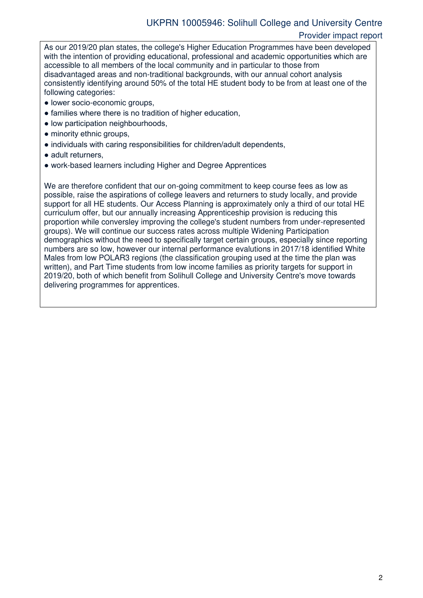#### Provider impact report

As our 2019/20 plan states, the college's Higher Education Programmes have been developed with the intention of providing educational, professional and academic opportunities which are accessible to all members of the local community and in particular to those from disadvantaged areas and non-traditional backgrounds, with our annual cohort analysis consistently identifying around 50% of the total HE student body to be from at least one of the following categories:

- lower socio-economic groups,
- families where there is no tradition of higher education,
- low participation neighbourhoods,
- minority ethnic groups,
- individuals with caring responsibilities for children/adult dependents,
- adult returners.
- work-based learners including Higher and Degree Apprentices

We are therefore confident that our on-going commitment to keep course fees as low as possible, raise the aspirations of college leavers and returners to study locally, and provide support for all HE students. Our Access Planning is approximately only a third of our total HE curriculum offer, but our annually increasing Apprenticeship provision is reducing this proportion while conversley improving the college's student numbers from under-represented groups). We will continue our success rates across multiple Widening Participation demographics without the need to specifically target certain groups, especially since reporting numbers are so low, however our internal performance evalutions in 2017/18 identified White Males from low POLAR3 regions (the classification grouping used at the time the plan was written), and Part Time students from low income families as priority targets for support in 2019/20, both of which benefit from Solihull College and University Centre's move towards delivering programmes for apprentices.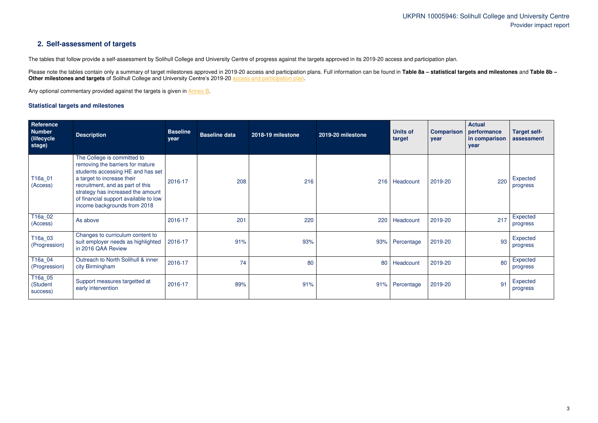## UKPRN 10005946: Solihull College and University Centre Provider impact report

### **2. Self-assessment of targets**

The tables that follow provide a self-assessment by Solihull College and University Centre of progress against the targets approved in its 2019-20 access and participation plan.

Please note the tables contain only a summary of target milestones approved in 2019-20 access and participation plans. Full information can be found in Table 8a - statistical targets and milestones and Table 8b -**Other milestones and targets** of Solihull College and University Centre's 2019-20 [access and participation plan.](https://www.officeforstudents.org.uk/advice-and-guidance/the-register/search-for-access-and-participation-plans/#/AccessPlans/)

Any optional commentary provided against the targets is given in [Annex B.](#page-7-0)

#### <span id="page-2-0"></span>**Statistical targets and milestones**

| Reference<br><b>Number</b><br>(lifecycle)<br>stage) | <b>Description</b>                                                                                                                                                                                                                                                                   | <b>Baseline</b><br>year | <b>Baseline data</b> | 2018-19 milestone | 2019-20 milestone | <b>Units of</b><br>target | <b>Comparison</b><br>year | <b>Actual</b><br>performance<br>in comparison<br>year | <b>Target self-</b><br>assessment |
|-----------------------------------------------------|--------------------------------------------------------------------------------------------------------------------------------------------------------------------------------------------------------------------------------------------------------------------------------------|-------------------------|----------------------|-------------------|-------------------|---------------------------|---------------------------|-------------------------------------------------------|-----------------------------------|
| T16a_01<br>(Access)                                 | The College is committed to<br>removing the barriers for mature<br>students accessing HE and has set<br>a target to increase their<br>recruitment, and as part of this<br>strategy has increased the amount<br>of financial support available to low<br>income backgrounds from 2018 | 2016-17                 | 208                  | 216               | 216               | Headcount                 | 2019-20                   | 220                                                   | Expected<br>progress              |
| $\overline{1}16a_02$<br>(Access)                    | As above                                                                                                                                                                                                                                                                             | 2016-17                 | 201                  | 220               | 220               | Headcount                 | 2019-20                   | 217                                                   | Expected<br>progress              |
| T16a_03<br>(Progression)                            | Changes to curriculum content to<br>suit employer needs as highlighted<br>in 2016 QAA Review                                                                                                                                                                                         | 2016-17                 | 91%                  | 93%               | 93%               | Percentage                | 2019-20                   | 93                                                    | Expected<br>progress              |
| T <sub>16a_04</sub><br>(Progression)                | Outreach to North Solihull & inner<br>city Birmingham                                                                                                                                                                                                                                | 2016-17                 | 74                   | 80                | 80                | Headcount                 | 2019-20                   | 80                                                    | Expected<br>progress              |
| T16a_05<br>(Student<br>success)                     | Support measures targetted at<br>early intervention                                                                                                                                                                                                                                  | 2016-17                 | 89%                  | 91%               | 91%               | Percentage                | 2019-20                   | 91                                                    | Expected<br>progress              |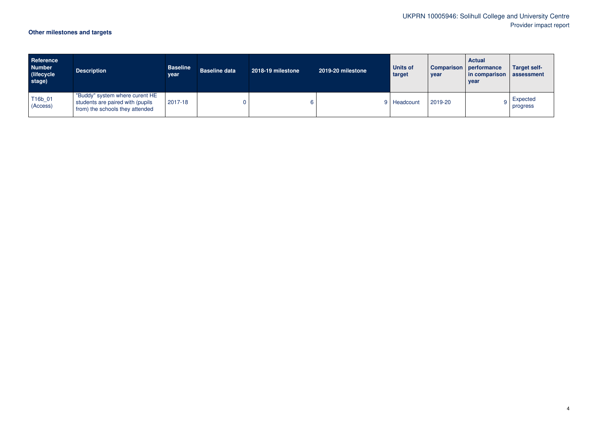# UKPRN 10005946: Solihull College and University Centre Provider impact report

# **Other milestones and targets**

| Reference<br><b>Number</b><br>(lifecycle)<br>stage) | <b>Description</b>                                                                                    | <b>Baseline</b><br>year | <b>Baseline data</b> | 2018-19 milestone | 2019-20 milestone | <b>Units of</b><br>target | <b>Comparison</b><br>year | <b>Actual</b><br>performance<br>in comparison assessment<br>year | <b>Target self-</b>  |
|-----------------------------------------------------|-------------------------------------------------------------------------------------------------------|-------------------------|----------------------|-------------------|-------------------|---------------------------|---------------------------|------------------------------------------------------------------|----------------------|
| T16b_01<br>(Access)                                 | "Buddy" system where curent HE<br>students are paired with (pupils<br>from) the schools they attended | 2017-18                 |                      |                   |                   | 9 Headcount               | 2019-20                   |                                                                  | Expected<br>progress |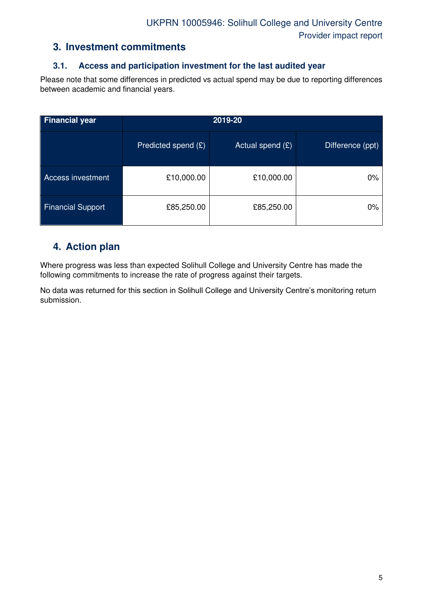#### **3. Investment commitments**

#### **3.1. Access and participation investment for the last audited year**

Please note that some differences in predicted vs actual spend may be due to reporting differences between academic and financial years.

| <b>Financial year</b>    | 2019-20             |                    |                  |  |  |  |
|--------------------------|---------------------|--------------------|------------------|--|--|--|
|                          | Predicted spend (£) | Actual spend $(E)$ | Difference (ppt) |  |  |  |
| <b>Access investment</b> | £10,000.00          | £10,000.00         | $0\%$            |  |  |  |
| <b>Financial Support</b> | £85,250.00          | £85,250.00         | $0\%$            |  |  |  |

#### **4. Action plan**

Where progress was less than expected Solihull College and University Centre has made the following commitments to increase the rate of progress against their targets.

No data was returned for this section in Solihull College and University Centre's monitoring return submission.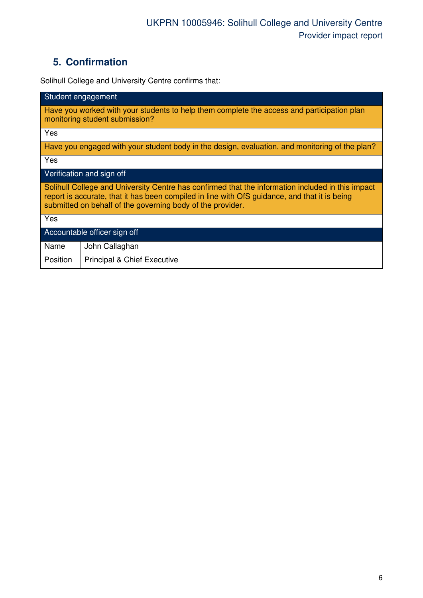# **5. Confirmation**

Solihull College and University Centre confirms that:

| Student engagement                                                                                                                                                                                                                                               |  |  |  |  |  |
|------------------------------------------------------------------------------------------------------------------------------------------------------------------------------------------------------------------------------------------------------------------|--|--|--|--|--|
| Have you worked with your students to help them complete the access and participation plan<br>monitoring student submission?                                                                                                                                     |  |  |  |  |  |
| Yes                                                                                                                                                                                                                                                              |  |  |  |  |  |
| Have you engaged with your student body in the design, evaluation, and monitoring of the plan?                                                                                                                                                                   |  |  |  |  |  |
| Yes                                                                                                                                                                                                                                                              |  |  |  |  |  |
| Verification and sign off                                                                                                                                                                                                                                        |  |  |  |  |  |
| Solihull College and University Centre has confirmed that the information included in this impact<br>report is accurate, that it has been compiled in line with OfS guidance, and that it is being<br>submitted on behalf of the governing body of the provider. |  |  |  |  |  |
| Yes                                                                                                                                                                                                                                                              |  |  |  |  |  |
| Accountable officer sign off                                                                                                                                                                                                                                     |  |  |  |  |  |
| Name<br>John Callaghan                                                                                                                                                                                                                                           |  |  |  |  |  |
| Position<br><b>Principal &amp; Chief Executive</b>                                                                                                                                                                                                               |  |  |  |  |  |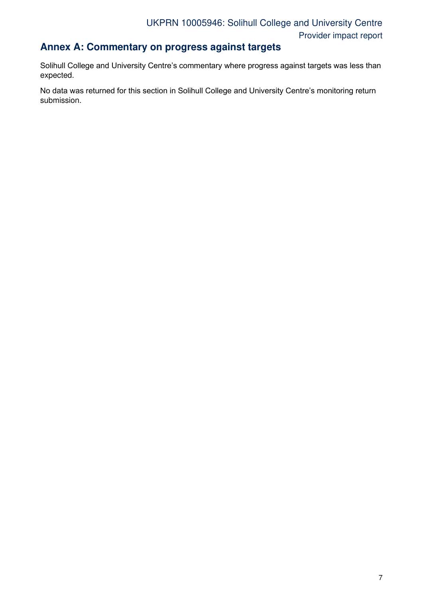### **Annex A: Commentary on progress against targets**

Solihull College and University Centre's commentary where progress against targets was less than expected.

No data was returned for this section in Solihull College and University Centre's monitoring return submission.